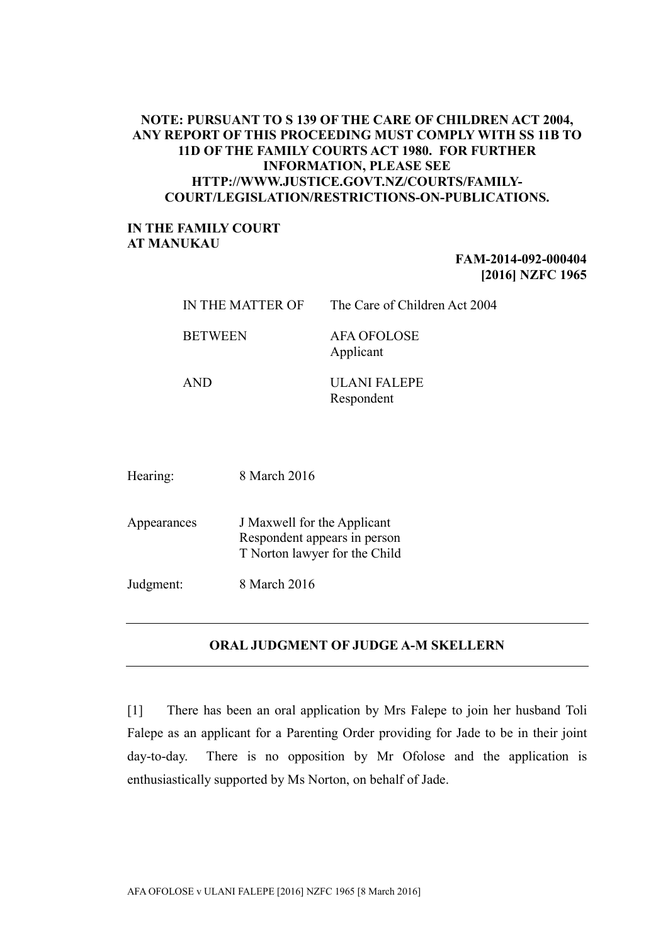# **NOTE: PURSUANT TO S 139 OF THE CARE OF CHILDREN ACT 2004, ANY REPORT OF THIS PROCEEDING MUST COMPLY WITH SS 11B TO 11D OF THE FAMILY COURTS ACT 1980. FOR FURTHER INFORMATION, PLEASE SEE HTTP://WWW.JUSTICE.GOVT.NZ/COURTS/FAMILY-COURT/LEGISLATION/RESTRICTIONS-ON-PUBLICATIONS.**

### **IN THE FAMILY COURT AT MANUKAU**

# **FAM-2014-092-000404 [2016] NZFC 1965**

|             | IN THE MATTER OF |                                                                                              | The Care of Children Act 2004     |
|-------------|------------------|----------------------------------------------------------------------------------------------|-----------------------------------|
|             | <b>BETWEEN</b>   |                                                                                              | <b>AFA OFOLOSE</b><br>Applicant   |
|             | <b>AND</b>       |                                                                                              | <b>ULANI FALEPE</b><br>Respondent |
|             |                  |                                                                                              |                                   |
| Hearing:    |                  | 8 March 2016                                                                                 |                                   |
| Appearances |                  | J Maxwell for the Applicant<br>Respondent appears in person<br>T Norton lawyer for the Child |                                   |
| Judgment:   |                  | 8 March 2016                                                                                 |                                   |

# **ORAL JUDGMENT OF JUDGE A-M SKELLERN**

[1] There has been an oral application by Mrs Falepe to join her husband Toli Falepe as an applicant for a Parenting Order providing for Jade to be in their joint day-to-day. There is no opposition by Mr Ofolose and the application is enthusiastically supported by Ms Norton, on behalf of Jade.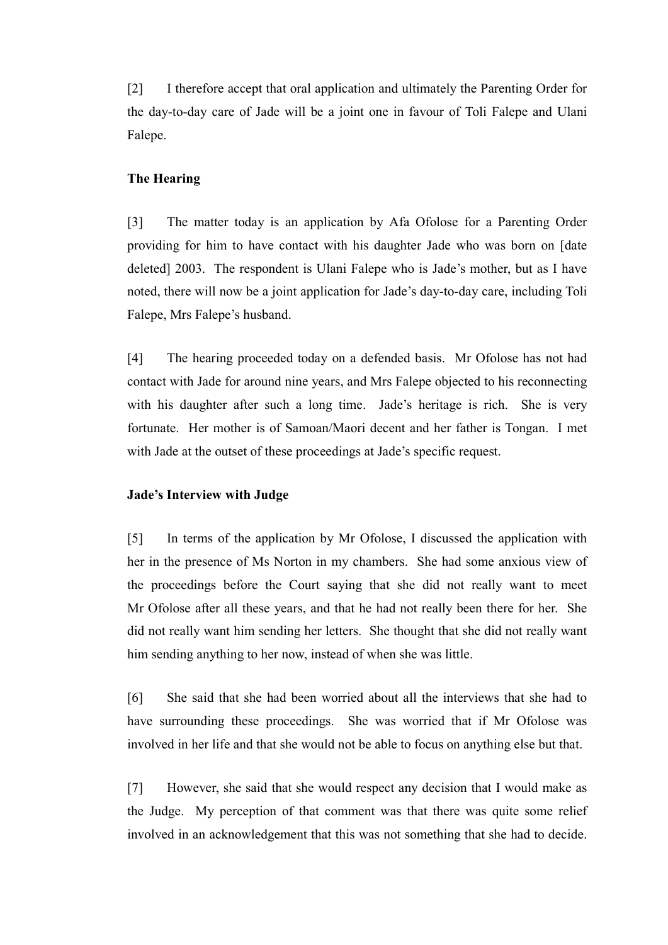[2] I therefore accept that oral application and ultimately the Parenting Order for the day-to-day care of Jade will be a joint one in favour of Toli Falepe and Ulani Falepe.

### **The Hearing**

[3] The matter today is an application by Afa Ofolose for a Parenting Order providing for him to have contact with his daughter Jade who was born on [date deleted] 2003. The respondent is Ulani Falepe who is Jade's mother, but as I have noted, there will now be a joint application for Jade's day-to-day care, including Toli Falepe, Mrs Falepe's husband.

[4] The hearing proceeded today on a defended basis. Mr Ofolose has not had contact with Jade for around nine years, and Mrs Falepe objected to his reconnecting with his daughter after such a long time. Jade's heritage is rich. She is very fortunate. Her mother is of Samoan/Maori decent and her father is Tongan. I met with Jade at the outset of these proceedings at Jade's specific request.

### **Jade's Interview with Judge**

[5] In terms of the application by Mr Ofolose, I discussed the application with her in the presence of Ms Norton in my chambers. She had some anxious view of the proceedings before the Court saying that she did not really want to meet Mr Ofolose after all these years, and that he had not really been there for her. She did not really want him sending her letters. She thought that she did not really want him sending anything to her now, instead of when she was little.

[6] She said that she had been worried about all the interviews that she had to have surrounding these proceedings. She was worried that if Mr Ofolose was involved in her life and that she would not be able to focus on anything else but that.

[7] However, she said that she would respect any decision that I would make as the Judge. My perception of that comment was that there was quite some relief involved in an acknowledgement that this was not something that she had to decide.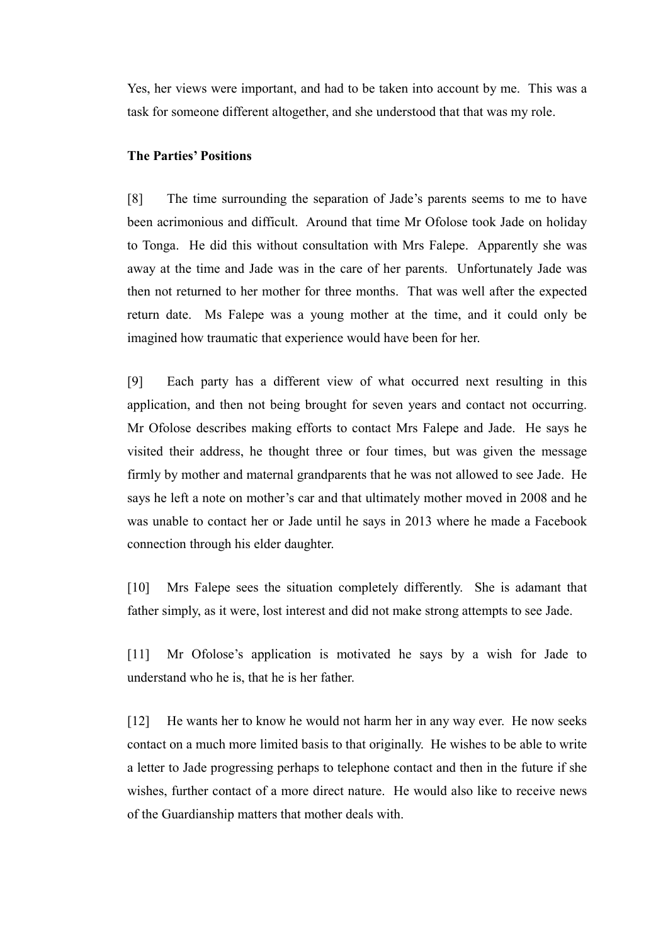Yes, her views were important, and had to be taken into account by me. This was a task for someone different altogether, and she understood that that was my role.

### **The Parties' Positions**

[8] The time surrounding the separation of Jade's parents seems to me to have been acrimonious and difficult. Around that time Mr Ofolose took Jade on holiday to Tonga. He did this without consultation with Mrs Falepe. Apparently she was away at the time and Jade was in the care of her parents. Unfortunately Jade was then not returned to her mother for three months. That was well after the expected return date. Ms Falepe was a young mother at the time, and it could only be imagined how traumatic that experience would have been for her.

[9] Each party has a different view of what occurred next resulting in this application, and then not being brought for seven years and contact not occurring. Mr Ofolose describes making efforts to contact Mrs Falepe and Jade. He says he visited their address, he thought three or four times, but was given the message firmly by mother and maternal grandparents that he was not allowed to see Jade. He says he left a note on mother's car and that ultimately mother moved in 2008 and he was unable to contact her or Jade until he says in 2013 where he made a Facebook connection through his elder daughter.

[10] Mrs Falepe sees the situation completely differently. She is adamant that father simply, as it were, lost interest and did not make strong attempts to see Jade.

[11] Mr Ofolose's application is motivated he says by a wish for Jade to understand who he is, that he is her father.

[12] He wants her to know he would not harm her in any way ever. He now seeks contact on a much more limited basis to that originally. He wishes to be able to write a letter to Jade progressing perhaps to telephone contact and then in the future if she wishes, further contact of a more direct nature. He would also like to receive news of the Guardianship matters that mother deals with.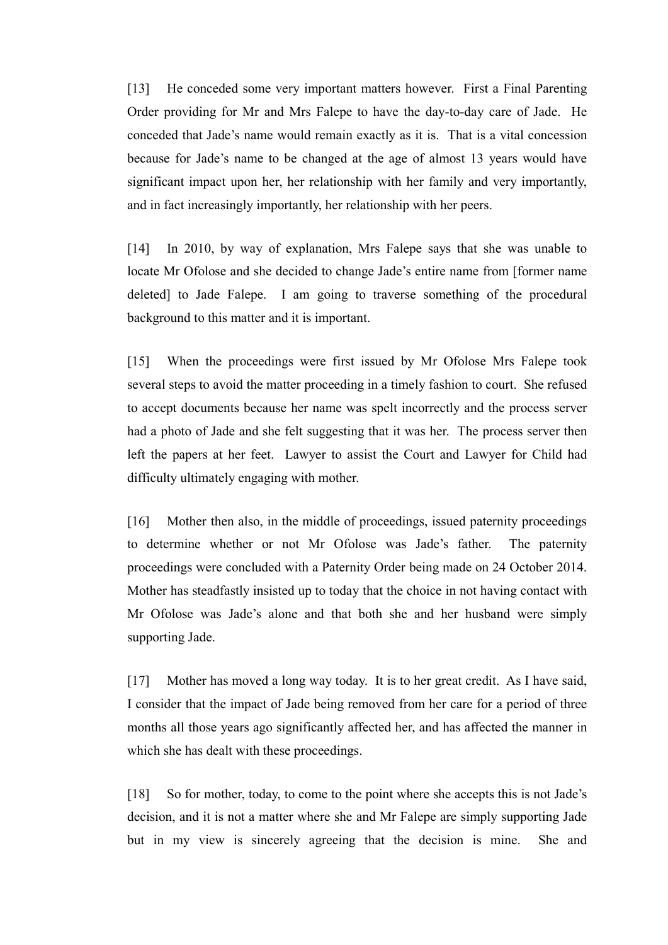[13] He conceded some very important matters however. First a Final Parenting Order providing for Mr and Mrs Falepe to have the day-to-day care of Jade. He conceded that Jade's name would remain exactly as it is. That is a vital concession because for Jade's name to be changed at the age of almost 13 years would have significant impact upon her, her relationship with her family and very importantly, and in fact increasingly importantly, her relationship with her peers.

[14] In 2010, by way of explanation, Mrs Falepe says that she was unable to locate Mr Ofolose and she decided to change Jade's entire name from [former name deleted] to Jade Falepe. I am going to traverse something of the procedural background to this matter and it is important.

[15] When the proceedings were first issued by Mr Ofolose Mrs Falepe took several steps to avoid the matter proceeding in a timely fashion to court. She refused to accept documents because her name was spelt incorrectly and the process server had a photo of Jade and she felt suggesting that it was her. The process server then left the papers at her feet. Lawyer to assist the Court and Lawyer for Child had difficulty ultimately engaging with mother.

[16] Mother then also, in the middle of proceedings, issued paternity proceedings to determine whether or not Mr Ofolose was Jade's father. The paternity proceedings were concluded with a Paternity Order being made on 24 October 2014. Mother has steadfastly insisted up to today that the choice in not having contact with Mr Ofolose was Jade's alone and that both she and her husband were simply supporting Jade.

[17] Mother has moved a long way today. It is to her great credit. As I have said, I consider that the impact of Jade being removed from her care for a period of three months all those years ago significantly affected her, and has affected the manner in which she has dealt with these proceedings.

[18] So for mother, today, to come to the point where she accepts this is not Jade's decision, and it is not a matter where she and Mr Falepe are simply supporting Jade but in my view is sincerely agreeing that the decision is mine. She and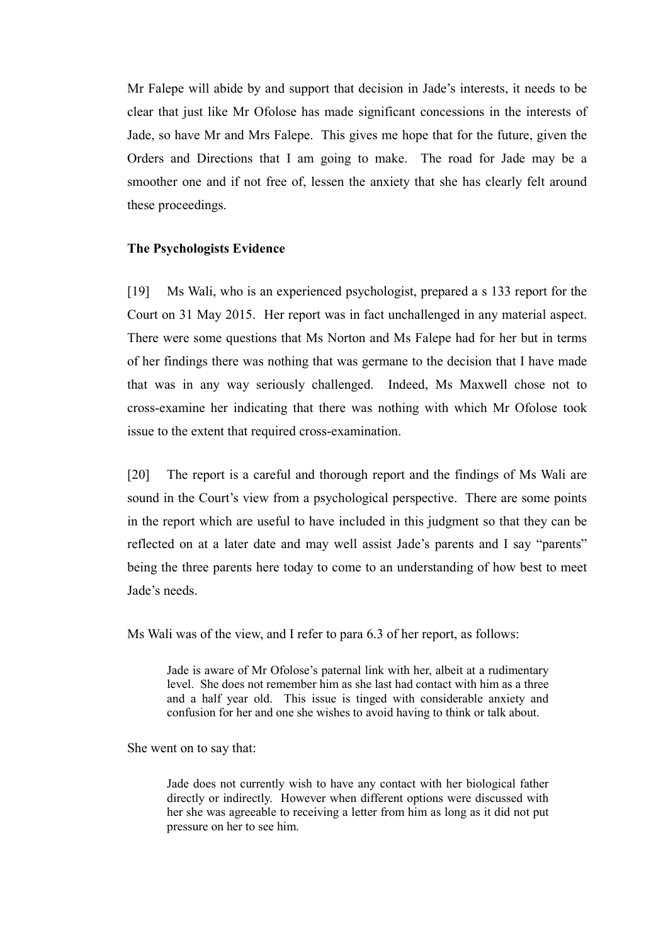Mr Falepe will abide by and support that decision in Jade's interests, it needs to be clear that just like Mr Ofolose has made significant concessions in the interests of Jade, so have Mr and Mrs Falepe. This gives me hope that for the future, given the Orders and Directions that I am going to make. The road for Jade may be a smoother one and if not free of, lessen the anxiety that she has clearly felt around these proceedings.

#### **The Psychologists Evidence**

[19] Ms Wali, who is an experienced psychologist, prepared a s 133 report for the Court on 31 May 2015. Her report was in fact unchallenged in any material aspect. There were some questions that Ms Norton and Ms Falepe had for her but in terms of her findings there was nothing that was germane to the decision that I have made that was in any way seriously challenged. Indeed, Ms Maxwell chose not to cross-examine her indicating that there was nothing with which Mr Ofolose took issue to the extent that required cross-examination.

[20] The report is a careful and thorough report and the findings of Ms Wali are sound in the Court's view from a psychological perspective. There are some points in the report which are useful to have included in this judgment so that they can be reflected on at a later date and may well assist Jade's parents and I say "parents" being the three parents here today to come to an understanding of how best to meet Jade's needs.

Ms Wali was of the view, and I refer to para 6.3 of her report, as follows:

Jade is aware of Mr Ofolose's paternal link with her, albeit at a rudimentary level. She does not remember him as she last had contact with him as a three and a half year old. This issue is tinged with considerable anxiety and confusion for her and one she wishes to avoid having to think or talk about.

She went on to say that:

Jade does not currently wish to have any contact with her biological father directly or indirectly. However when different options were discussed with her she was agreeable to receiving a letter from him as long as it did not put pressure on her to see him.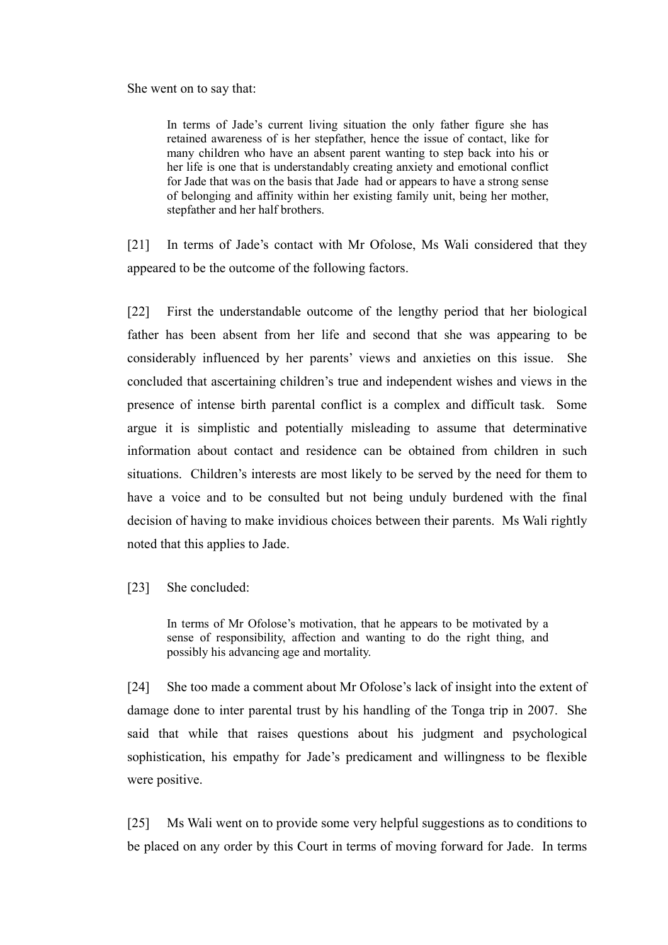She went on to say that:

In terms of Jade's current living situation the only father figure she has retained awareness of is her stepfather, hence the issue of contact, like for many children who have an absent parent wanting to step back into his or her life is one that is understandably creating anxiety and emotional conflict for Jade that was on the basis that Jade had or appears to have a strong sense of belonging and affinity within her existing family unit, being her mother, stepfather and her half brothers.

[21] In terms of Jade's contact with Mr Ofolose, Ms Wali considered that they appeared to be the outcome of the following factors.

[22] First the understandable outcome of the lengthy period that her biological father has been absent from her life and second that she was appearing to be considerably influenced by her parents' views and anxieties on this issue. She concluded that ascertaining children's true and independent wishes and views in the presence of intense birth parental conflict is a complex and difficult task. Some argue it is simplistic and potentially misleading to assume that determinative information about contact and residence can be obtained from children in such situations. Children's interests are most likely to be served by the need for them to have a voice and to be consulted but not being unduly burdened with the final decision of having to make invidious choices between their parents. Ms Wali rightly noted that this applies to Jade.

[23] She concluded:

In terms of Mr Ofolose's motivation, that he appears to be motivated by a sense of responsibility, affection and wanting to do the right thing, and possibly his advancing age and mortality.

[24] She too made a comment about Mr Ofolose's lack of insight into the extent of damage done to inter parental trust by his handling of the Tonga trip in 2007. She said that while that raises questions about his judgment and psychological sophistication, his empathy for Jade's predicament and willingness to be flexible were positive.

[25] Ms Wali went on to provide some very helpful suggestions as to conditions to be placed on any order by this Court in terms of moving forward for Jade. In terms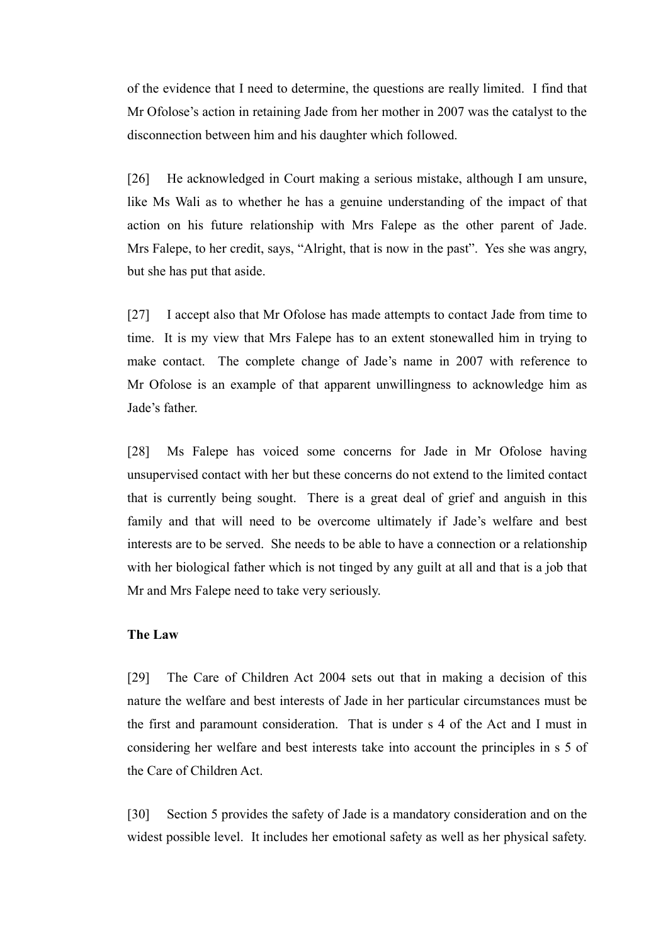of the evidence that I need to determine, the questions are really limited. I find that Mr Ofolose's action in retaining Jade from her mother in 2007 was the catalyst to the disconnection between him and his daughter which followed.

[26] He acknowledged in Court making a serious mistake, although I am unsure, like Ms Wali as to whether he has a genuine understanding of the impact of that action on his future relationship with Mrs Falepe as the other parent of Jade. Mrs Falepe, to her credit, says, "Alright, that is now in the past". Yes she was angry, but she has put that aside.

[27] I accept also that Mr Ofolose has made attempts to contact Jade from time to time. It is my view that Mrs Falepe has to an extent stonewalled him in trying to make contact. The complete change of Jade's name in 2007 with reference to Mr Ofolose is an example of that apparent unwillingness to acknowledge him as Jade's father.

[28] Ms Falepe has voiced some concerns for Jade in Mr Ofolose having unsupervised contact with her but these concerns do not extend to the limited contact that is currently being sought. There is a great deal of grief and anguish in this family and that will need to be overcome ultimately if Jade's welfare and best interests are to be served. She needs to be able to have a connection or a relationship with her biological father which is not tinged by any guilt at all and that is a job that Mr and Mrs Falepe need to take very seriously.

### **The Law**

[29] The Care of Children Act 2004 sets out that in making a decision of this nature the welfare and best interests of Jade in her particular circumstances must be the first and paramount consideration. That is under s 4 of the Act and I must in considering her welfare and best interests take into account the principles in s 5 of the Care of Children Act.

[30] Section 5 provides the safety of Jade is a mandatory consideration and on the widest possible level. It includes her emotional safety as well as her physical safety.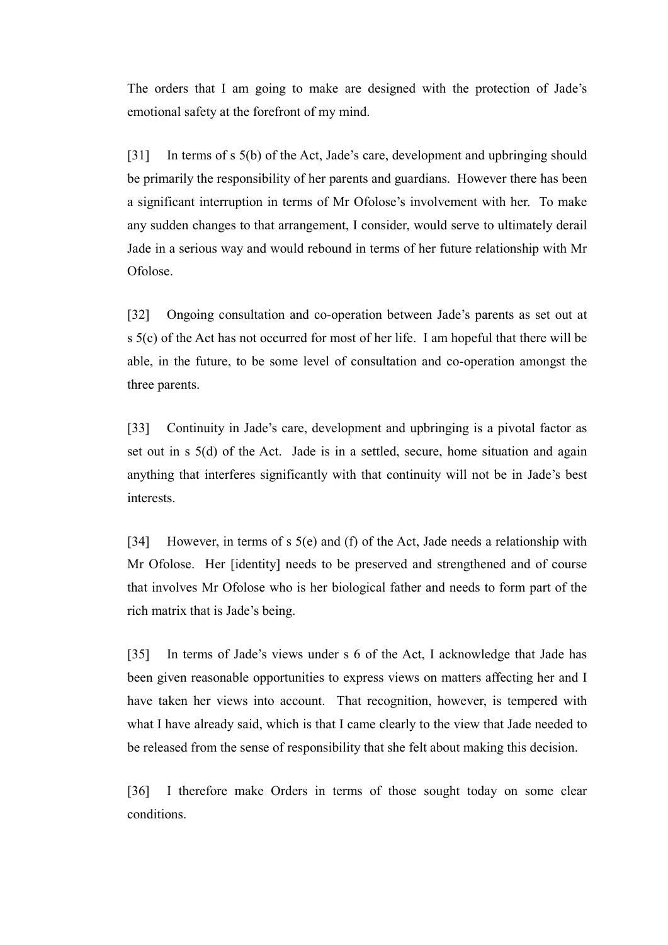The orders that I am going to make are designed with the protection of Jade's emotional safety at the forefront of my mind.

[31] In terms of s 5(b) of the Act, Jade's care, development and upbringing should be primarily the responsibility of her parents and guardians. However there has been a significant interruption in terms of Mr Ofolose's involvement with her. To make any sudden changes to that arrangement, I consider, would serve to ultimately derail Jade in a serious way and would rebound in terms of her future relationship with Mr Ofolose.

[32] Ongoing consultation and co-operation between Jade's parents as set out at s 5(c) of the Act has not occurred for most of her life. I am hopeful that there will be able, in the future, to be some level of consultation and co-operation amongst the three parents.

[33] Continuity in Jade's care, development and upbringing is a pivotal factor as set out in s 5(d) of the Act. Jade is in a settled, secure, home situation and again anything that interferes significantly with that continuity will not be in Jade's best interests.

[34] However, in terms of s 5(e) and (f) of the Act, Jade needs a relationship with Mr Ofolose. Her [identity] needs to be preserved and strengthened and of course that involves Mr Ofolose who is her biological father and needs to form part of the rich matrix that is Jade's being.

[35] In terms of Jade's views under s 6 of the Act, I acknowledge that Jade has been given reasonable opportunities to express views on matters affecting her and I have taken her views into account. That recognition, however, is tempered with what I have already said, which is that I came clearly to the view that Jade needed to be released from the sense of responsibility that she felt about making this decision.

[36] I therefore make Orders in terms of those sought today on some clear conditions.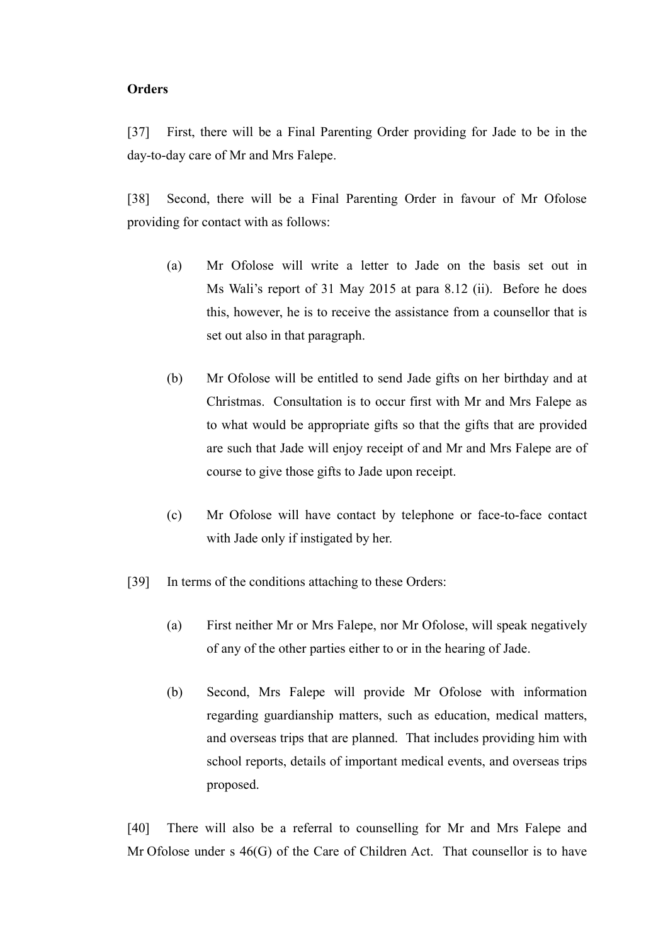### **Orders**

[37] First, there will be a Final Parenting Order providing for Jade to be in the day-to-day care of Mr and Mrs Falepe.

[38] Second, there will be a Final Parenting Order in favour of Mr Ofolose providing for contact with as follows:

- (a) Mr Ofolose will write a letter to Jade on the basis set out in Ms Wali's report of 31 May 2015 at para 8.12 (ii). Before he does this, however, he is to receive the assistance from a counsellor that is set out also in that paragraph.
- (b) Mr Ofolose will be entitled to send Jade gifts on her birthday and at Christmas. Consultation is to occur first with Mr and Mrs Falepe as to what would be appropriate gifts so that the gifts that are provided are such that Jade will enjoy receipt of and Mr and Mrs Falepe are of course to give those gifts to Jade upon receipt.
- (c) Mr Ofolose will have contact by telephone or face-to-face contact with Jade only if instigated by her.
- [39] In terms of the conditions attaching to these Orders:
	- (a) First neither Mr or Mrs Falepe, nor Mr Ofolose, will speak negatively of any of the other parties either to or in the hearing of Jade.
	- (b) Second, Mrs Falepe will provide Mr Ofolose with information regarding guardianship matters, such as education, medical matters, and overseas trips that are planned. That includes providing him with school reports, details of important medical events, and overseas trips proposed.

[40] There will also be a referral to counselling for Mr and Mrs Falepe and Mr Ofolose under s 46(G) of the Care of Children Act. That counsellor is to have